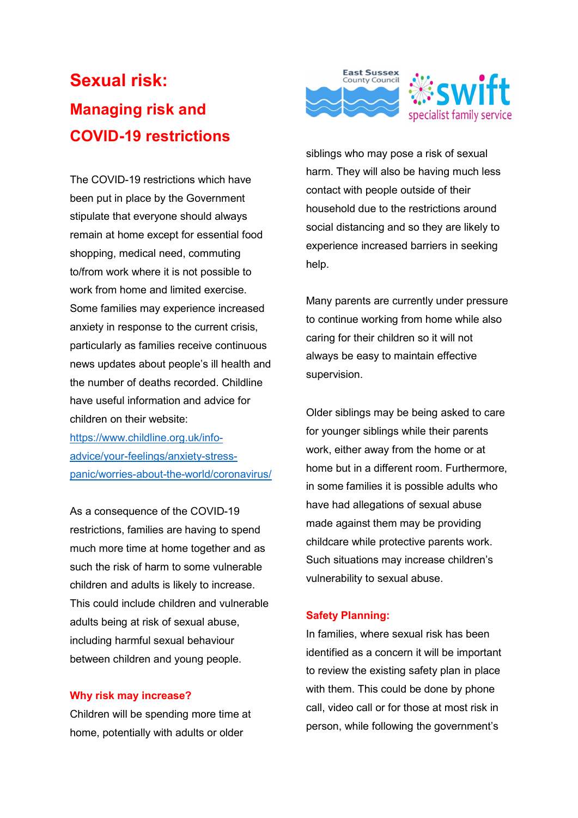# Sexual risk: Managing risk and COVID-19 restrictions

The COVID-19 restrictions which have been put in place by the Government stipulate that everyone should always remain at home except for essential food shopping, medical need, commuting to/from work where it is not possible to work from home and limited exercise. Some families may experience increased anxiety in response to the current crisis, particularly as families receive continuous news updates about people's ill health and the number of deaths recorded. Childline have useful information and advice for children on their website:

https://www.childline.org.uk/infoadvice/your-feelings/anxiety-stresspanic/worries-about-the-world/coronavirus/

As a consequence of the COVID-19 restrictions, families are having to spend much more time at home together and as such the risk of harm to some vulnerable children and adults is likely to increase. This could include children and vulnerable adults being at risk of sexual abuse, including harmful sexual behaviour between children and young people.

#### Why risk may increase?

Children will be spending more time at home, potentially with adults or older



siblings who may pose a risk of sexual harm. They will also be having much less contact with people outside of their household due to the restrictions around social distancing and so they are likely to experience increased barriers in seeking help.

Many parents are currently under pressure to continue working from home while also caring for their children so it will not always be easy to maintain effective supervision.

Older siblings may be being asked to care for younger siblings while their parents work, either away from the home or at home but in a different room. Furthermore, in some families it is possible adults who have had allegations of sexual abuse made against them may be providing childcare while protective parents work. Such situations may increase children's vulnerability to sexual abuse.

#### Safety Planning:

In families, where sexual risk has been identified as a concern it will be important to review the existing safety plan in place with them. This could be done by phone call, video call or for those at most risk in person, while following the government's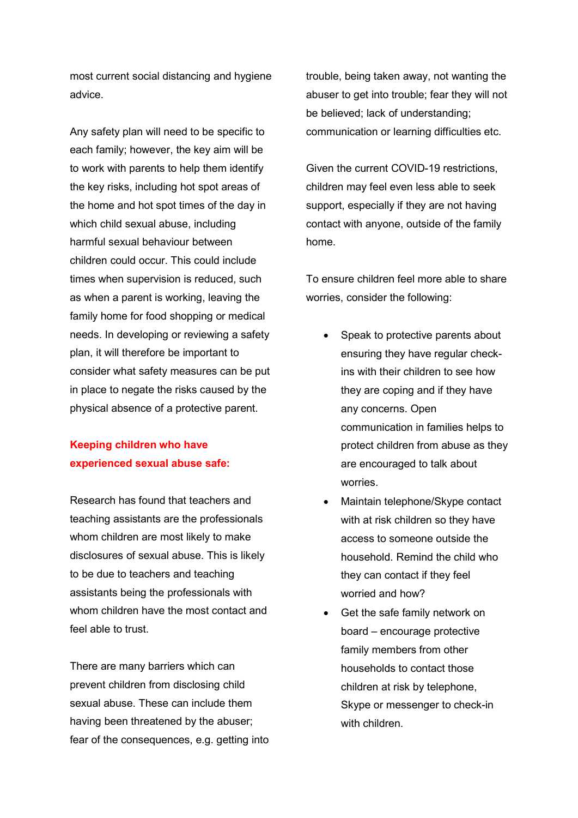most current social distancing and hygiene advice.

Any safety plan will need to be specific to each family; however, the key aim will be to work with parents to help them identify the key risks, including hot spot areas of the home and hot spot times of the day in which child sexual abuse, including harmful sexual behaviour between children could occur. This could include times when supervision is reduced, such as when a parent is working, leaving the family home for food shopping or medical needs. In developing or reviewing a safety plan, it will therefore be important to consider what safety measures can be put in place to negate the risks caused by the physical absence of a protective parent.

## Keeping children who have experienced sexual abuse safe:

Research has found that teachers and teaching assistants are the professionals whom children are most likely to make disclosures of sexual abuse. This is likely to be due to teachers and teaching assistants being the professionals with whom children have the most contact and feel able to trust.

There are many barriers which can prevent children from disclosing child sexual abuse. These can include them having been threatened by the abuser; fear of the consequences, e.g. getting into trouble, being taken away, not wanting the abuser to get into trouble; fear they will not be believed; lack of understanding; communication or learning difficulties etc.

Given the current COVID-19 restrictions, children may feel even less able to seek support, especially if they are not having contact with anyone, outside of the family home.

To ensure children feel more able to share worries, consider the following:

- Speak to protective parents about ensuring they have regular checkins with their children to see how they are coping and if they have any concerns. Open communication in families helps to protect children from abuse as they are encouraged to talk about worries.
- Maintain telephone/Skype contact with at risk children so they have access to someone outside the household. Remind the child who they can contact if they feel worried and how?
- Get the safe family network on board – encourage protective family members from other households to contact those children at risk by telephone, Skype or messenger to check-in with children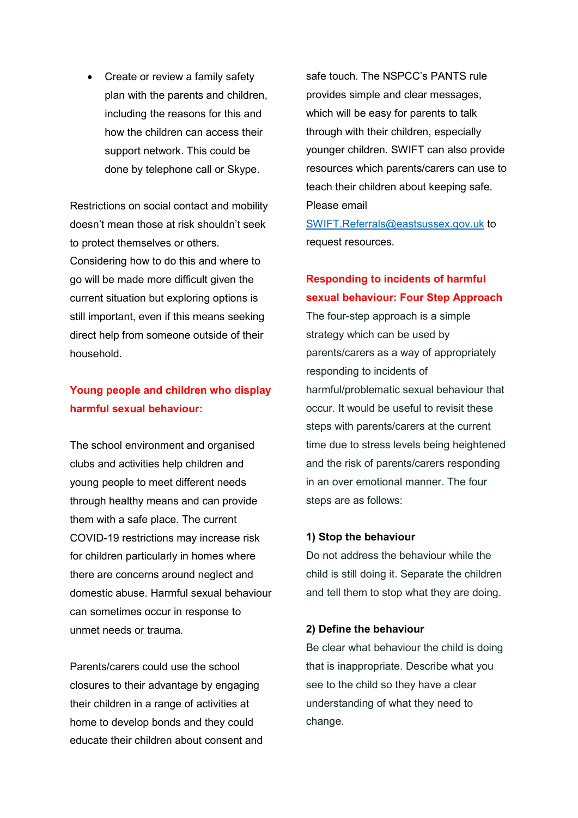• Create or review a family safety plan with the parents and children, including the reasons for this and how the children can access their support network. This could be done by telephone call or Skype.

Restrictions on social contact and mobility doesn't mean those at risk shouldn't seek to protect themselves or others. Considering how to do this and where to go will be made more difficult given the current situation but exploring options is still important, even if this means seeking direct help from someone outside of their household.

## Young people and children who display harmful sexual behaviour:

The school environment and organised clubs and activities help children and young people to meet different needs through healthy means and can provide them with a safe place. The current COVID-19 restrictions may increase risk for children particularly in homes where there are concerns around neglect and domestic abuse. Harmful sexual behaviour can sometimes occur in response to unmet needs or trauma.

Parents/carers could use the school closures to their advantage by engaging their children in a range of activities at home to develop bonds and they could educate their children about consent and

safe touch. The NSPCC's PANTS rule provides simple and clear messages, which will be easy for parents to talk through with their children, especially younger children. SWIFT can also provide resources which parents/carers can use to teach their children about keeping safe. Please email

SWIFT.Referrals@eastsussex.gov.uk to request resources.

## Responding to incidents of harmful sexual behaviour: Four Step Approach

The four-step approach is a simple strategy which can be used by parents/carers as a way of appropriately responding to incidents of harmful/problematic sexual behaviour that occur. It would be useful to revisit these steps with parents/carers at the current time due to stress levels being heightened and the risk of parents/carers responding in an over emotional manner. The four steps are as follows:

#### 1) Stop the behaviour

Do not address the behaviour while the child is still doing it. Separate the children and tell them to stop what they are doing.

#### 2) Define the behaviour

Be clear what behaviour the child is doing that is inappropriate. Describe what you see to the child so they have a clear understanding of what they need to change.